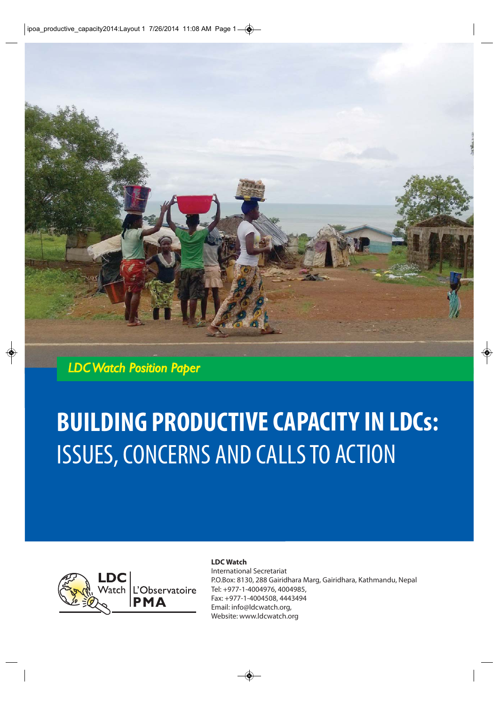

*LDC Watch Position Paper*

# **BUILDING PRODUCTIVE CAPACITY IN LDCs:**  ISSUES, CONCERNS AND CALLS TO ACTION



#### **LDC Watch**

International Secretariat P.O.Box: 8130, 288 Gairidhara Marg, Gairidhara, Kathmandu, Nepal Tel: +977-1-4004976, 4004985, Fax: +977-1-4004508, 4443494 Email: info@ldcwatch.org, Website: www.ldcwatch.org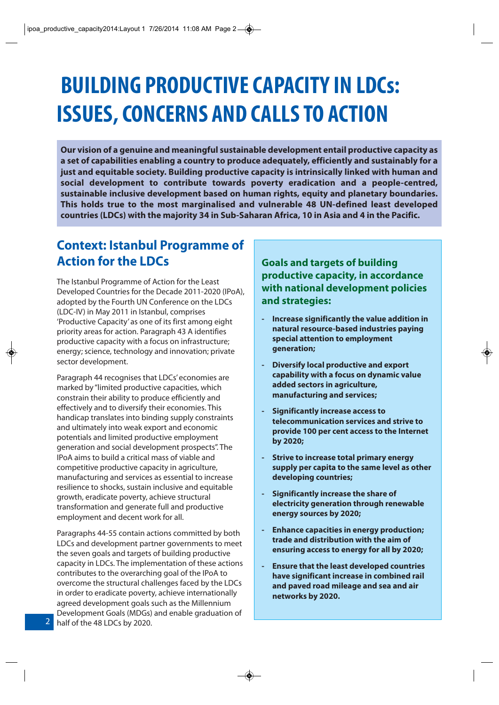## **BUILDING PRODUCTIVE CAPACITY IN LDCs: ISSUES, CONCERNS AND CALLS TO ACTION**

**Our vision of a genuine and meaningful sustainable development entail productive capacity as a set of capabilities enabling a country to produce adequately, efficiently and sustainably for a just and equitable society. Building productive capacity is intrinsically linked with human and social development to contribute towards poverty eradication and a people-centred, sustainable inclusive development based on human rights, equity and planetary boundaries. This holds true to the most marginalised and vulnerable 48 UN-defined least developed countries (LDCs) with the majority 34 in Sub-Saharan Africa, 10 in Asia and 4 in the Pacific.**

### **Context: Istanbul Programme of Action for the LDCs**

The Istanbul Programme of Action for the Least Developed Countries for the Decade 2011-2020 (IPoA), adopted by the Fourth UN Conference on the LDCs (LDC-IV) in May 2011 in Istanbul, comprises 'Productive Capacity' as one of its first among eight priority areas for action. Paragraph 43 A identifies productive capacity with a focus on infrastructure; energy; science, technology and innovation; private sector development.

Paragraph 44 recognises that LDCs' economies are marked by "limited productive capacities, which constrain their ability to produce efficiently and effectively and to diversify their economies. This handicap translates into binding supply constraints and ultimately into weak export and economic potentials and limited productive employment generation and social development prospects". The IPoA aims to build a critical mass of viable and competitive productive capacity in agriculture, manufacturing and services as essential to increase resilience to shocks, sustain inclusive and equitable growth, eradicate poverty, achieve structural transformation and generate full and productive employment and decent work for all.

Paragraphs 44-55 contain actions committed by both LDCs and development partner governments to meet the seven goals and targets of building productive capacity in LDCs. The implementation of these actions contributes to the overarching goal of the IPoA to overcome the structural challenges faced by the LDCs in order to eradicate poverty, achieve internationally agreed development goals such as the Millennium Development Goals (MDGs) and enable graduation of 2 half of the 48 LDCs by 2020.

**Goals and targets of building productive capacity, in accordance with national development policies and strategies:**

- **Increase significantly the value addition in natural resource-based industries paying special attention to employment generation;**
- **Diversify local productive and export capability with a focus on dynamic value added sectors in agriculture, manufacturing and services;**
- **Significantly increase access to telecommunication services and strive to provide 100 per cent access to the Internet by 2020;**
- **Strive to increase total primary energy supply per capita to the same level as other developing countries;**
- **Significantly increase the share of electricity generation through renewable energy sources by 2020;**
- **Enhance capacities in energy production; trade and distribution with the aim of ensuring access to energy for all by 2020;**
- **Ensure that the least developed countries have significant increase in combined rail and paved road mileage and sea and air networks by 2020.**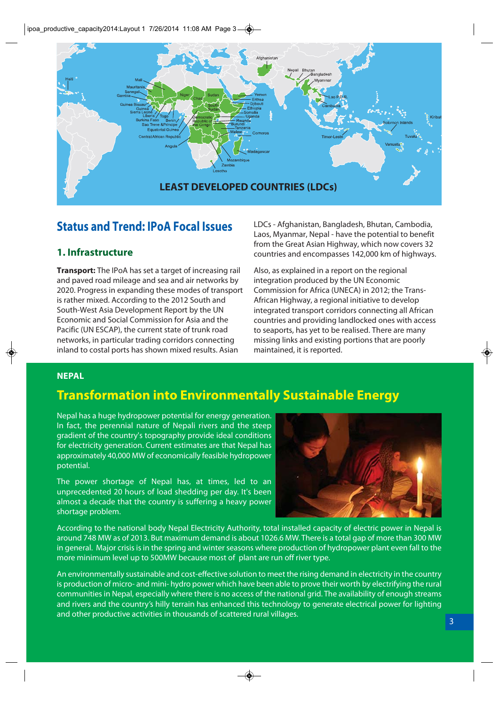

### **Status and Trend: IPoA Focal Issues**

### **1. Infrastructure**

**Transport:** The IPoA has set a target of increasing rail and paved road mileage and sea and air networks by 2020. Progress in expanding these modes of transport is rather mixed. According to the 2012 South and South-West Asia Development Report by the UN Economic and Social Commission for Asia and the Pacific (UN ESCAP), the current state of trunk road networks, in particular trading corridors connecting inland to costal ports has shown mixed results. Asian

LDCs - Afghanistan, Bangladesh, Bhutan, Cambodia, Laos, Myanmar, Nepal - have the potential to benefit from the Great Asian Highway, which now covers 32 countries and encompasses 142,000 km of highways.

Also, as explained in a report on the regional integration produced by the UN Economic Commission for Africa (UNECA) in 2012; the Trans-African Highway, a regional initiative to develop integrated transport corridors connecting all African countries and providing landlocked ones with access to seaports, has yet to be realised. There are many missing links and existing portions that are poorly maintained, it is reported.

#### **NEPAL**

### **Transformation into Environmentally Sustainable Energy**

Nepal has a huge hydropower potential for energy generation. In fact, the perennial nature of Nepali rivers and the steep gradient of the country's topography provide ideal conditions for electricity generation. Current estimates are that Nepal has approximately 40,000 MW of economically feasible hydropower potential.

The power shortage of Nepal has, at times, led to an unprecedented 20 hours of load shedding per day. It's been almost a decade that the country is suffering a heavy power shortage problem.



According to the national body Nepal Electricity Authority, total installed capacity of electric power in Nepal is around 748 MW as of 2013. But maximum demand is about 1026.6 MW. There is a total gap of more than 300 MW in general. Major crisis is in the spring and winter seasons where production of hydropower plant even fall to the more minimum level up to 500MW because most of plant are run off river type.

An environmentally sustainable and cost-effective solution to meet the rising demand in electricity in the country is production of micro- and mini- hydro power which have been able to prove their worth by electrifying the rural communities in Nepal, especially where there is no access of the national grid. The availability of enough streams and rivers and the country's hilly terrain has enhanced this technology to generate electrical power for lighting and other productive activities in thousands of scattered rural villages.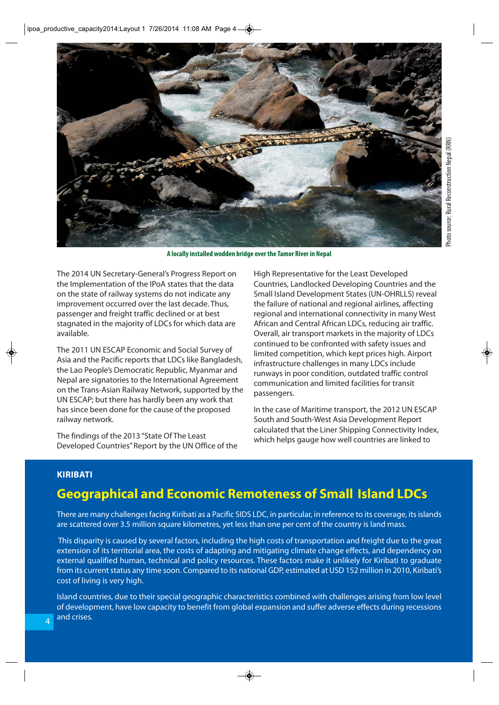

**A locally installed wodden bridge over the Tamor River in Nepal**

The 2014 UN Secretary-General's Progress Report on the Implementation of the IPoA states that the data on the state of railway systems do not indicate any improvement occurred over the last decade. Thus, passenger and freight traffic declined or at best stagnated in the majority of LDCs for which data are available.

The 2011 UN ESCAP Economic and Social Survey of Asia and the Pacific reports that LDCs like Bangladesh, the Lao People's Democratic Republic, Myanmar and Nepal are signatories to the International Agreement on the Trans-Asian Railway Network, supported by the UN ESCAP; but there has hardly been any work that has since been done for the cause of the proposed railway network.

The findings of the 2013 "State Of The Least Developed Countries" Report by the UN Office of the High Representative for the Least Developed Countries, Landlocked Developing Countries and the Small Island Development States (UN-OHRLLS) reveal the failure of national and regional airlines, affecting regional and international connectivity in many West African and Central African LDCs, reducing air traffic. Overall, air transport markets in the majority of LDCs continued to be confronted with safety issues and limited competition, which kept prices high. Airport infrastructure challenges in many LDCs include runways in poor condition, outdated traffic control communication and limited facilities for transit passengers.

In the case of Maritime transport, the 2012 UN ESCAP South and South-West Asia Development Report calculated that the Liner Shipping Connectivity Index, which helps gauge how well countries are linked to

#### **KIRIBATI**

### **Geographical and Economic Remoteness of Small Island LDCs**

There are many challenges facing Kiribati as a Pacific SIDS LDC, in particular, in reference to its coverage, its islands are scattered over 3.5 million square kilometres, yet less than one per cent of the country is land mass.

This disparity is caused by several factors, including the high costs of transportation and freight due to the great extension of its territorial area, the costs of adapting and mitigating climate change effects, and dependency on external qualified human, technical and policy resources. These factors make it unlikely for Kiribati to graduate from its current status any time soon. Compared to its national GDP, estimated at USD 152 million in 2010, Kiribati's cost of living is very high.

Island countries, due to their special geographic characteristics combined with challenges arising from low level of development, have low capacity to benefit from global expansion and suffer adverse effects during recessions and crises.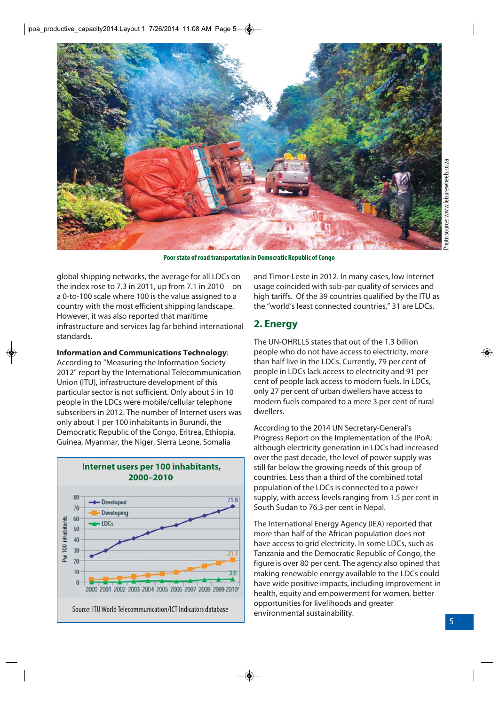

**Poor state of road transportation in Democratic Republic of Congo** 

global shipping networks, the average for all LDCs on the index rose to 7.3 in 2011, up from 7.1 in 2010—on a 0-to-100 scale where 100 is the value assigned to a country with the most efficient shipping landscape. However, it was also reported that maritime infrastructure and services lag far behind international standards.

#### **Information and Communications Technology**:

According to "Measuring the Information Society 2012" report by the International Telecommunication Union (ITU), infrastructure development of this particular sector is not sufficient. Only about 5 in 10 people in the LDCs were mobile/cellular telephone subscribers in 2012. The number of Internet users was only about 1 per 100 inhabitants in Burundi, the Democratic Republic of the Congo, Eritrea, Ethiopia, Guinea, Myanmar, the Niger, Sierra Leone, Somalia

**Internet users per 100 inhabitants,** 



and Timor-Leste in 2012. In many cases, low Internet usage coincided with sub-par quality of services and high tariffs. Of the 39 countries qualified by the ITU as the "world's least connected countries," 31 are LDCs.

#### **2. Energy**

The UN-OHRLLS states that out of the 1.3 billion people who do not have access to electricity, more than half live in the LDCs. Currently, 79 per cent of people in LDCs lack access to electricity and 91 per cent of people lack access to modern fuels. In LDCs, only 27 per cent of urban dwellers have access to modern fuels compared to a mere 3 per cent of rural dwellers.

According to the 2014 UN Secretary-General's Progress Report on the Implementation of the IPoA; although electricity generation in LDCs had increased over the past decade, the level of power supply was still far below the growing needs of this group of countries. Less than a third of the combined total population of the LDCs is connected to a power supply, with access levels ranging from 1.5 per cent in South Sudan to 76.3 per cent in Nepal.

The International Energy Agency (IEA) reported that more than half of the African population does not have access to grid electricity. In some LDCs, such as Tanzania and the Democratic Republic of Congo, the figure is over 80 per cent. The agency also opined that making renewable energy available to the LDCs could have wide positive impacts, including improvement in health, equity and empowerment for women, better opportunities for livelihoods and greater environmental sustainability.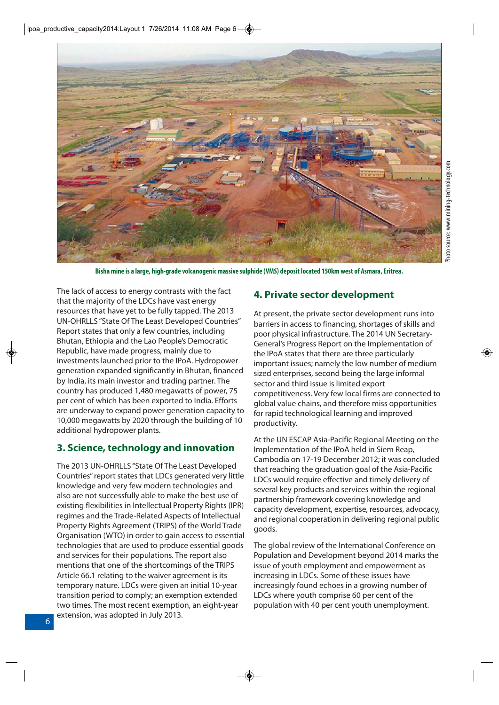

**Bisha mine is a large, high-grade volcanogenic massive sulphide (VMS) deposit located 150km west of Asmara, Eritrea.**

The lack of access to energy contrasts with the fact that the majority of the LDCs have vast energy resources that have yet to be fully tapped. The 2013 UN-OHRLLS "State Of The Least Developed Countries" Report states that only a few countries, including Bhutan, Ethiopia and the Lao People's Democratic Republic, have made progress, mainly due to investments launched prior to the IPoA. Hydropower generation expanded significantly in Bhutan, financed by India, its main investor and trading partner. The country has produced 1,480 megawatts of power, 75 per cent of which has been exported to India. Efforts are underway to expand power generation capacity to 10,000 megawatts by 2020 through the building of 10 additional hydropower plants.

#### **3. Science, technology and innovation**

The 2013 UN-OHRLLS "State Of The Least Developed Countries" report states that LDCs generated very little knowledge and very few modern technologies and also are not successfully able to make the best use of existing flexibilities in Intellectual Property Rights (IPR) regimes and the Trade-Related Aspects of Intellectual Property Rights Agreement (TRIPS) of the World Trade Organisation (WTO) in order to gain access to essential technologies that are used to produce essential goods and services for their populations. The report also mentions that one of the shortcomings of the TRIPS Article 66.1 relating to the waiver agreement is its temporary nature. LDCs were given an initial 10-year transition period to comply; an exemption extended two times. The most recent exemption, an eight-year extension, was adopted in July 2013.

#### **4. Private sector development**

At present, the private sector development runs into barriers in access to financing, shortages of skills and poor physical infrastructure. The 2014 UN Secretary-General's Progress Report on the Implementation of the IPoA states that there are three particularly important issues; namely the low number of medium sized enterprises, second being the large informal sector and third issue is limited export competitiveness. Very few local firms are connected to global value chains, and therefore miss opportunities for rapid technological learning and improved productivity.

At the UN ESCAP Asia-Pacific Regional Meeting on the Implementation of the IPoA held in Siem Reap, Cambodia on 17-19 December 2012; it was concluded that reaching the graduation goal of the Asia-Pacific LDCs would require effective and timely delivery of several key products and services within the regional partnership framework covering knowledge and capacity development, expertise, resources, advocacy, and regional cooperation in delivering regional public goods.

The global review of the International Conference on Population and Development beyond 2014 marks the issue of youth employment and empowerment as increasing in LDCs. Some of these issues have increasingly found echoes in a growing number of LDCs where youth comprise 60 per cent of the population with 40 per cent youth unemployment.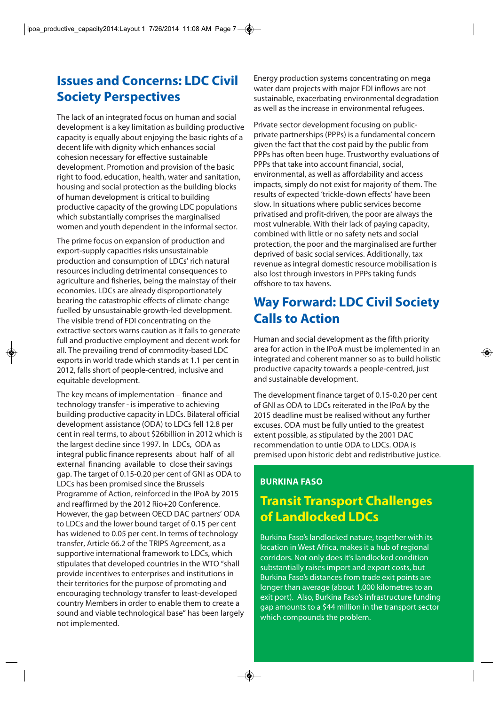### **Issues and Concerns: LDC Civil Society Perspectives**

The lack of an integrated focus on human and social development is a key limitation as building productive capacity is equally about enjoying the basic rights of a decent life with dignity which enhances social cohesion necessary for effective sustainable development. Promotion and provision of the basic right to food, education, health, water and sanitation, housing and social protection as the building blocks of human development is critical to building productive capacity of the growing LDC populations which substantially comprises the marginalised women and youth dependent in the informal sector.

The prime focus on expansion of production and export-supply capacities risks unsustainable production and consumption of LDCs' rich natural resources including detrimental consequences to agriculture and fisheries, being the mainstay of their economies. LDCs are already disproportionately bearing the catastrophic effects of climate change fuelled by unsustainable growth-led development. The visible trend of FDI concentrating on the extractive sectors warns caution as it fails to generate full and productive employment and decent work for all. The prevailing trend of commodity-based LDC exports in world trade which stands at 1.1 per cent in 2012, falls short of people-centred, inclusive and equitable development.

The key means of implementation – finance and technology transfer - is imperative to achieving building productive capacity in LDCs. Bilateral official development assistance (ODA) to LDCs fell 12.8 per cent in real terms, to about \$26billion in 2012 which is the largest decline since 1997. In LDCs, ODA as integral public finance represents about half of all external financing available to close their savings gap. The target of 0.15-0.20 per cent of GNI as ODA to LDCs has been promised since the Brussels Programme of Action, reinforced in the IPoA by 2015 and reaffirmed by the 2012 Rio+20 Conference. However, the gap between OECD DAC partners' ODA to LDCs and the lower bound target of 0.15 per cent has widened to 0.05 per cent. In terms of technology transfer, Article 66.2 of the TRIPS Agreement, as a supportive international framework to LDCs, which stipulates that developed countries in the WTO "shall provide incentives to enterprises and institutions in their territories for the purpose of promoting and encouraging technology transfer to least-developed country Members in order to enable them to create a sound and viable technological base" has been largely not implemented.

Energy production systems concentrating on mega water dam projects with major FDI inflows are not sustainable, exacerbating environmental degradation as well as the increase in environmental refugees.

Private sector development focusing on publicprivate partnerships (PPPs) is a fundamental concern given the fact that the cost paid by the public from PPPs has often been huge. Trustworthy evaluations of PPPs that take into account financial, social, environmental, as well as affordability and access impacts, simply do not exist for majority of them. The results of expected 'trickle-down effects' have been slow. In situations where public services become privatised and profit-driven, the poor are always the most vulnerable. With their lack of paying capacity, combined with little or no safety nets and social protection, the poor and the marginalised are further deprived of basic social services. Additionally, tax revenue as integral domestic resource mobilisation is also lost through investors in PPPs taking funds offshore to tax havens.

### **Way Forward: LDC Civil Society Calls to Action**

Human and social development as the fifth priority area for action in the IPoA must be implemented in an integrated and coherent manner so as to build holistic productive capacity towards a people-centred, just and sustainable development.

The development finance target of 0.15-0.20 per cent of GNI as ODA to LDCs reiterated in the IPoA by the 2015 deadline must be realised without any further excuses. ODA must be fully untied to the greatest extent possible, as stipulated by the 2001 DAC recommendation to untie ODA to LDCs. ODA is premised upon historic debt and redistributive justice.

### **BURKINA FASO**

### **Transit Transport Challenges of Landlocked LDCs**

Burkina Faso's landlocked nature, together with its location in West Africa, makes it a hub of regional corridors. Not only does it's landlocked condition substantially raises import and export costs, but Burkina Faso's distances from trade exit points are longer than average (about 1,000 kilometres to an exit port). Also, Burkina Faso's infrastructure funding gap amounts to a \$44 million in the transport sector which compounds the problem.